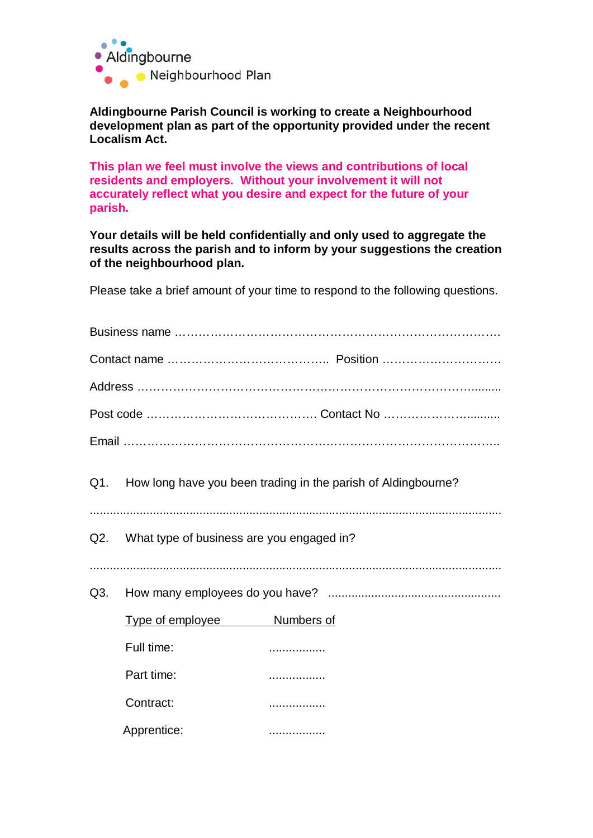

**Aldingbourne Parish Council is working to create a Neighbourhood development plan as part of the opportunity provided under the recent Localism Act.**

**This plan we feel must involve the views and contributions of local residents and employers. Without your involvement it will not accurately reflect what you desire and expect for the future of your parish.**

**Your details will be held confidentially and only used to aggregate the results across the parish and to inform by your suggestions the creation of the neighbourhood plan.**

Please take a brief amount of your time to respond to the following questions.

|     | Q1. How long have you been trading in the parish of Aldingbourne? |  |  |  |  |
|-----|-------------------------------------------------------------------|--|--|--|--|
|     | Q2. What type of business are you engaged in?                     |  |  |  |  |
| Q3. |                                                                   |  |  |  |  |
|     | Type of employee Mumbers of                                       |  |  |  |  |
|     | Full time:                                                        |  |  |  |  |
|     | Part time:                                                        |  |  |  |  |
|     | Contract:                                                         |  |  |  |  |
|     | Apprentice:                                                       |  |  |  |  |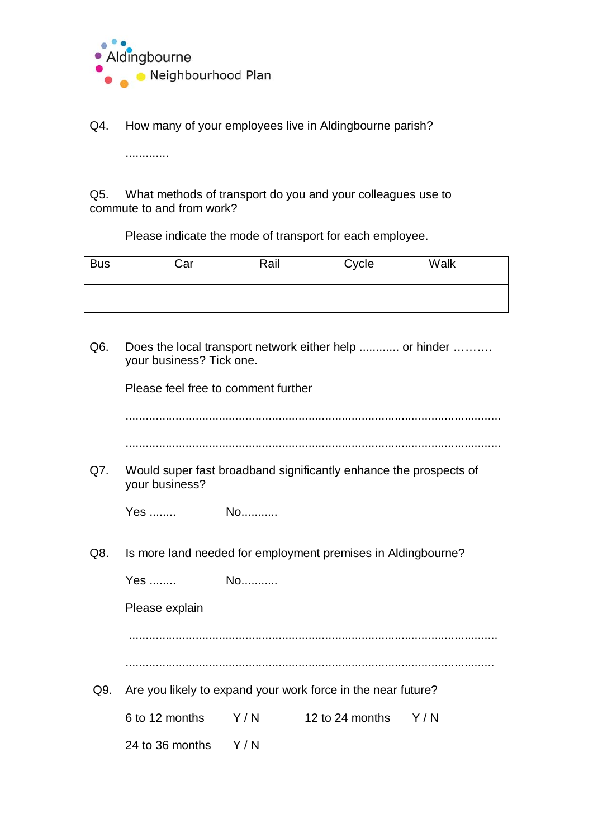

Q4. How many of your employees live in Aldingbourne parish?

.............

Q5. What methods of transport do you and your colleagues use to commute to and from work?

Please indicate the mode of transport for each employee.

| <b>Bus</b> | Car | Rail | Cycle | Walk |
|------------|-----|------|-------|------|
|            |     |      |       |      |

Q6. Does the local transport network either help ............ or hinder .......... your business? Tick one.

Please feel free to comment further

| Q7. | Would super fast broadband significantly enhance the prospects of<br>your business? |                                                              |                                        |  |
|-----|-------------------------------------------------------------------------------------|--------------------------------------------------------------|----------------------------------------|--|
|     |                                                                                     |                                                              |                                        |  |
| Q8. |                                                                                     | Is more land needed for employment premises in Aldingbourne? |                                        |  |
|     |                                                                                     |                                                              |                                        |  |
|     | Please explain                                                                      |                                                              |                                        |  |
|     |                                                                                     |                                                              |                                        |  |
|     |                                                                                     |                                                              |                                        |  |
| Q9. | Are you likely to expand your work force in the near future?                        |                                                              |                                        |  |
|     |                                                                                     |                                                              | 6 to 12 months Y/N 12 to 24 months Y/N |  |
|     | 24 to 36 months $Y/N$                                                               |                                                              |                                        |  |